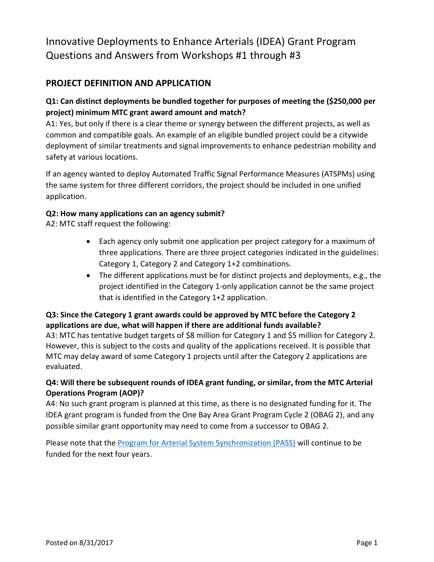# Innovative Deployments to Enhance Arterials (IDEA) Grant Program Questions and Answers from Workshops #1 through #3

# **PROJECT DEFINITION AND APPLICATION**

# **Q1: Can distinct deployments be bundled together for purposes of meeting the (\$250,000 per project) minimum MTC grant award amount and match?**

A1: Yes, but only if there is a clear theme or synergy between the different projects, as well as common and compatible goals. An example of an eligible bundled project could be a citywide deployment of similar treatments and signal improvements to enhance pedestrian mobility and safety at various locations.

If an agency wanted to deploy Automated Traffic Signal Performance Measures (ATSPMs) using the same system for three different corridors, the project should be included in one unified application.

#### **Q2: How many applications can an agency submit?**

A2: MTC staff request the following:

- Each agency only submit one application per project category for a maximum of three applications. There are three project categories indicated in the guidelines: Category 1, Category 2 and Category 1+2 combinations.
- The different applications must be for distinct projects and deployments, e.g., the project identified in the Category 1-only application cannot be the same project that is identified in the Category 1+2 application.

# **Q3: Since the Category 1 grant awards could be approved by MTC before the Category 2 applications are due, what will happen if there are additional funds available?**

A3: MTC has tentative budget targets of \$8 million for Category 1 and \$5 million for Category 2. However, this is subject to the costs and quality of the applications received. It is possible that MTC may delay award of some Category 1 projects until after the Category 2 applications are evaluated.

#### **Q4: Will there be subsequent rounds of IDEA grant funding, or similar, from the MTC Arterial Operations Program (AOP)?**

A4: No such grant program is planned at this time, as there is no designated funding for it. The IDEA grant program is funded from the One Bay Area Grant Program Cycle 2 (OBAG 2), and any possible similar grant opportunity may need to come from a successor to OBAG 2.

Please note that the [Program for Arterial System Synchronization \(PASS\)](http://mtc.ca.gov/our-work/operate-coordinate/arterial-operations/program-arterial-system-synchronization-pass) will continue to be funded for the next four years.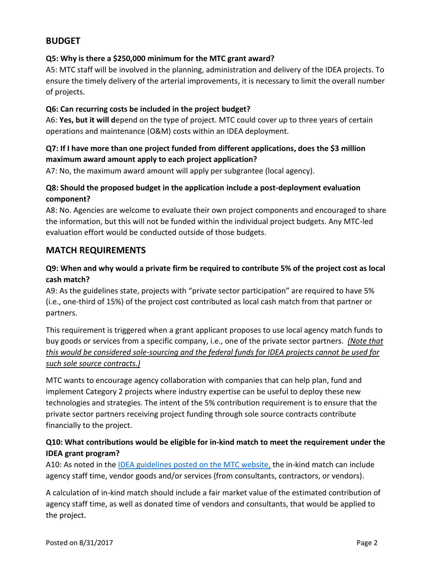# **BUDGET**

#### **Q5: Why is there a \$250,000 minimum for the MTC grant award?**

A5: MTC staff will be involved in the planning, administration and delivery of the IDEA projects. To ensure the timely delivery of the arterial improvements, it is necessary to limit the overall number of projects.

#### **Q6: Can recurring costs be included in the project budget?**

A6: **Yes, but it will d**epend on the type of project. MTC could cover up to three years of certain operations and maintenance (O&M) costs within an IDEA deployment.

# **Q7: If I have more than one project funded from different applications, does the \$3 million maximum award amount apply to each project application?**

A7: No, the maximum award amount will apply per subgrantee (local agency).

# **Q8: Should the proposed budget in the application include a post-deployment evaluation component?**

A8: No. Agencies are welcome to evaluate their own project components and encouraged to share the information, but this will not be funded within the individual project budgets. Any MTC-led evaluation effort would be conducted outside of those budgets.

# **MATCH REQUIREMENTS**

# **Q9: When and why would a private firm be required to contribute 5% of the project cost as local cash match?**

A9: As the guidelines state, projects with "private sector participation" are required to have 5% (i.e., one-third of 15%) of the project cost contributed as local cash match from that partner or partners.

This requirement is triggered when a grant applicant proposes to use local agency match funds to buy goods or services from a specific company, i.e., one of the private sector partners. *(Note that this would be considered sole-sourcing and the federal funds for IDEA projects cannot be used for such sole source contracts.)* 

MTC wants to encourage agency collaboration with companies that can help plan, fund and implement Category 2 projects where industry expertise can be useful to deploy these new technologies and strategies. The intent of the 5% contribution requirement is to ensure that the private sector partners receiving project funding through sole source contracts contribute financially to the project.

#### **Q10: What contributions would be eligible for in-kind match to meet the requirement under the IDEA grant program?**

A10: As noted in the IDEA guidelines [posted on the MTC website,](http://mtc.ca.gov/sites/default/files/IDEA_guidelines_final_2.0_8-21.pdf) the in-kind match can include agency staff time, vendor goods and/or services (from consultants, contractors, or vendors).

A calculation of in-kind match should include a fair market value of the estimated contribution of agency staff time, as well as donated time of vendors and consultants, that would be applied to the project.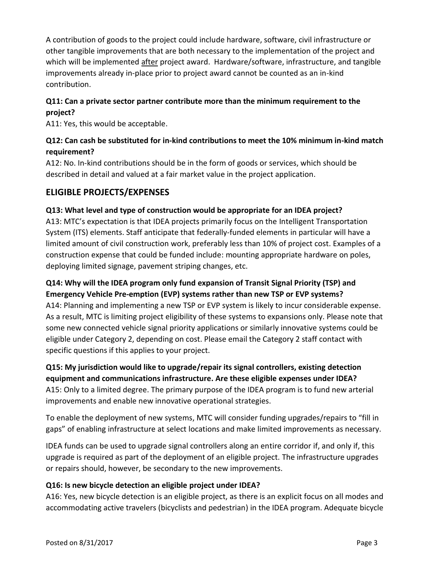A contribution of goods to the project could include hardware, software, civil infrastructure or other tangible improvements that are both necessary to the implementation of the project and which will be implemented after project award. Hardware/software, infrastructure, and tangible improvements already in-place prior to project award cannot be counted as an in-kind contribution.

# **Q11: Can a private sector partner contribute more than the minimum requirement to the project?**

A11: Yes, this would be acceptable.

# **Q12: Can cash be substituted for in-kind contributions to meet the 10% minimum in-kind match requirement?**

A12: No. In-kind contributions should be in the form of goods or services, which should be described in detail and valued at a fair market value in the project application.

# **ELIGIBLE PROJECTS/EXPENSES**

#### **Q13: What level and type of construction would be appropriate for an IDEA project?**

A13: MTC's expectation is that IDEA projects primarily focus on the Intelligent Transportation System (ITS) elements. Staff anticipate that federally-funded elements in particular will have a limited amount of civil construction work, preferably less than 10% of project cost. Examples of a construction expense that could be funded include: mounting appropriate hardware on poles, deploying limited signage, pavement striping changes, etc.

#### **Q14: Why will the IDEA program only fund expansion of Transit Signal Priority (TSP) and Emergency Vehicle Pre-emption (EVP) systems rather than new TSP or EVP systems?**

A14: Planning and implementing a new TSP or EVP system is likely to incur considerable expense. As a result, MTC is limiting project eligibility of these systems to expansions only. Please note that some new connected vehicle signal priority applications or similarly innovative systems could be eligible under Category 2, depending on cost. Please email the Category 2 staff contact with specific questions if this applies to your project.

# **Q15: My jurisdiction would like to upgrade/repair its signal controllers, existing detection equipment and communications infrastructure. Are these eligible expenses under IDEA?** A15: Only to a limited degree. The primary purpose of the IDEA program is to fund new arterial

improvements and enable new innovative operational strategies.

To enable the deployment of new systems, MTC will consider funding upgrades/repairs to "fill in gaps" of enabling infrastructure at select locations and make limited improvements as necessary.

IDEA funds can be used to upgrade signal controllers along an entire corridor if, and only if, this upgrade is required as part of the deployment of an eligible project. The infrastructure upgrades or repairs should, however, be secondary to the new improvements.

#### **Q16: Is new bicycle detection an eligible project under IDEA?**

A16: Yes, new bicycle detection is an eligible project, as there is an explicit focus on all modes and accommodating active travelers (bicyclists and pedestrian) in the IDEA program. Adequate bicycle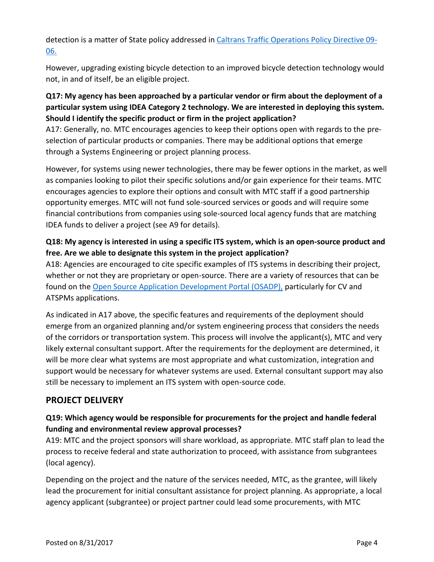detection is a matter of State policy addressed in [Caltrans Traffic Operations Policy Directive 09-](http://www.dot.ca.gov/trafficops/policy/09-06.pdf) [06.](http://www.dot.ca.gov/trafficops/policy/09-06.pdf)

However, upgrading existing bicycle detection to an improved bicycle detection technology would not, in and of itself, be an eligible project.

# **Q17: My agency has been approached by a particular vendor or firm about the deployment of a particular system using IDEA Category 2 technology. We are interested in deploying this system. Should I identify the specific product or firm in the project application?**

A17: Generally, no. MTC encourages agencies to keep their options open with regards to the preselection of particular products or companies. There may be additional options that emerge through a Systems Engineering or project planning process.

However, for systems using newer technologies, there may be fewer options in the market, as well as companies looking to pilot their specific solutions and/or gain experience for their teams. MTC encourages agencies to explore their options and consult with MTC staff if a good partnership opportunity emerges. MTC will not fund sole-sourced services or goods and will require some financial contributions from companies using sole-sourced local agency funds that are matching IDEA funds to deliver a project (see A9 for details).

# **Q18: My agency is interested in using a specific ITS system, which is an open-source product and free. Are we able to designate this system in the project application?**

A18: Agencies are encouraged to cite specific examples of ITS systems in describing their project, whether or not they are proprietary or open-source. There are a variety of resources that can be found on the [Open Source Application Development Portal \(OSADP\),](https://itsforge.net/) particularly for CV and ATSPMs applications.

As indicated in A17 above, the specific features and requirements of the deployment should emerge from an organized planning and/or system engineering process that considers the needs of the corridors or transportation system. This process will involve the applicant(s), MTC and very likely external consultant support. After the requirements for the deployment are determined, it will be more clear what systems are most appropriate and what customization, integration and support would be necessary for whatever systems are used. External consultant support may also still be necessary to implement an ITS system with open-source code.

# **PROJECT DELIVERY**

# **Q19: Which agency would be responsible for procurements for the project and handle federal funding and environmental review approval processes?**

A19: MTC and the project sponsors will share workload, as appropriate. MTC staff plan to lead the process to receive federal and state authorization to proceed, with assistance from subgrantees (local agency).

Depending on the project and the nature of the services needed, MTC, as the grantee, will likely lead the procurement for initial consultant assistance for project planning. As appropriate, a local agency applicant (subgrantee) or project partner could lead some procurements, with MTC